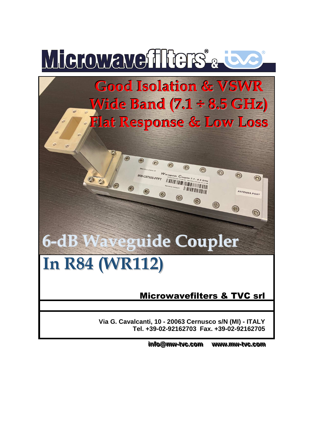

info@mw-tvc.com www. **..mmww--ttvvcc. ..ccoomm**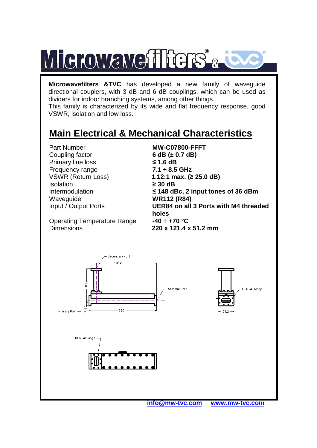

**Microwavefilters &TVC** has developed a new family of waveguide directional couplers, with 3 dB and 6 dB couplings, which can be used as dividers for indoor branching systems, among other things.

This family is characterized by its wide and flat frequency response, good VSWR, isolation and low loss.

## **Main Electrical & Mechanical Characteristics**

Part Number **MW-C07800-FFFT**  Coupling factor **6 dB (± 0.7 dB) Primary line loss** Frequency range **7.1 ÷ 8.5 GHz**  Isolation **≥ 30 dB**  Waveguide **WR112 (R84)** 

 $\leq$  1.6 dB VSWR (Return Loss) **1.12:1 max. (≥ 25.0 dB)**  Intermodulation **≤ 148 dBc, 2 input tones of 36 dBm**  Input / Output Ports **UER84 on all 3 Ports with M4 threaded**  holes<br>-40  $\div$  +70 °C

**Operating Temperature Range** Dimensions **220 x 121.4 x 51.2 mm** 







 **info@mw-tvc.com www.mw-tvc.com**